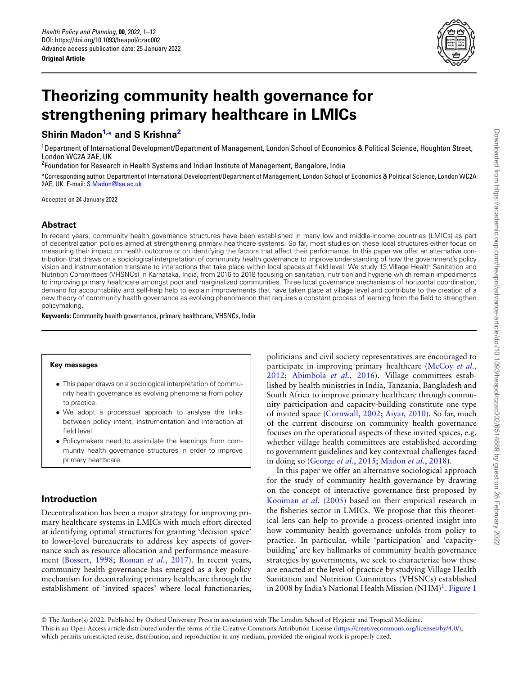

# **Theorizing community health governance for strengthening primary healthcare in LMICs**

# **Shirin Madon[1,](#page-0-0)\* and S Krishna[2](#page-0-1)**

<span id="page-0-0"></span><sup>1</sup>Department of International Development/Department of Management, London School of Economics & Political Science, Houghton Street, London WC2A 2AE, UK

<sup>2</sup>Foundation for Research in Health Systems and Indian Institute of Management, Bangalore, India

<span id="page-0-1"></span>\*Corresponding author. Department of International Development/Department of Management, London School of Economics & Political Science, London WC2A 2AE, UK. E-mail: [S.Madon@lse.ac.uk](mailto:S.Madon@lse.ac.uk)

Accepted on 24 January 2022

#### **Abstract**

In recent years, community health governance structures have been established in many low and middle-income countries (LMICs) as part of decentralization policies aimed at strengthening primary healthcare systems. So far, most studies on these local structures either focus on measuring their impact on health outcome or on identifying the factors that affect their performance. In this paper we offer an alternative contribution that draws on a sociological interpretation of community health governance to improve understanding of how the government's policy vision and instrumentation translate to interactions that take place within local spaces at field level. We study 13 Village Health Sanitation and Nutrition Committees (VHSNCs) in Karnataka, India, from 2016 to 2018 focusing on sanitation, nutrition and hygiene which remain impediments to improving primary healthcare amongst poor and marginalized communities. Three local governance mechanisms of horizontal coordination, demand for accountability and self-help help to explain improvements that have taken place at village level and contribute to the creation of a new theory of community health governance as evolving phenomenon that requires a constant process of learning from the field to strengthen policymaking.

**Keywords:** Community health governance, primary healthcare, VHSNCs, India

#### **Key messages**

- <span id="page-0-2"></span>*•* This paper draws on a sociological interpretation of community health governance as evolving phenomena from policy to practice.
- *•* We adopt a processual approach to analyse the links between policy intent, instrumentation and interaction at field level.
- *•* Policymakers need to assimilate the learnings from community health governance structures in order to improve primary healthcare.

# **Introduction**

Decentralization has been a major strategy for improving primary healthcare systems in LMICs with much effort directed at identifying optimal structures for granting 'decision space' to lower-level bureaucrats to address key aspects of governance such as resource allocation and performance measurement([Bossert, 1998](#page-9-0); [Roman](#page-10-0) *et al.*, 2017). In recent years, community health governance has emerged as a key policy mechanism for decentralizing primary healthcare through the establishment of 'invited spaces' where local functionaries,

politicians and civil society representatives are encouraged to participate in improving primary healthcare([McCoy](#page-10-1) *et al.*, [2012;](#page-10-1) [Abimbola](#page-9-1) *et al.*, 2016). Village committees established by health ministries in India, Tanzania, Bangladesh and South Africa to improve primary healthcare through community participation and capacity-building constitute one type of invited space([Cornwall, 2002](#page-9-2); [Aiyar, 2010\)](#page-9-3). So far, much of the current discourse on community health governance focuses on the operational aspects of these invited spaces, e.g. whether village health committees are established according to government guidelines and key contextual challenges faced in doing so [\(George](#page-10-2) *et al.*, 2015; [Madon](#page-10-3) *et al.*, 2018).

In this paper we offer an alternative sociological approach for the study of community health governance by drawing on the concept of interactive governance first proposed by [Kooiman](#page-10-4) *et al.* (2005) based on their empirical research in the fisheries sector in LMICs. We propose that this theoretical lens can help to provide a process-oriented insight into how community health governance unfolds from policy to practice. In particular, while 'participation' and 'capacitybuilding' are key hallmarks of community health governance strategies by governments, we seek to characterize how these are enacted at the level of practice by studying Village Health Sanitation and Nutrition Committees (VHSNCs) established in 2008 by India's National Health Mission (NHM)<sup>[1](#page-0-2)</sup>. [Figure 1](#page-1-0)

<sup>©</sup> The Author(s) 2022. Published by Oxford University Press in association with The London School of Hygiene and Tropical Medicine. This is an Open Access article distributed under the terms of the Creative Commons Attribution License [\(https://creativecommons.org/licenses/by/4.0/\)](https://creativecommons.org/licenses/by/4.0/), which permits unrestricted reuse, distribution, and reproduction in any medium, provided the original work is properly cited.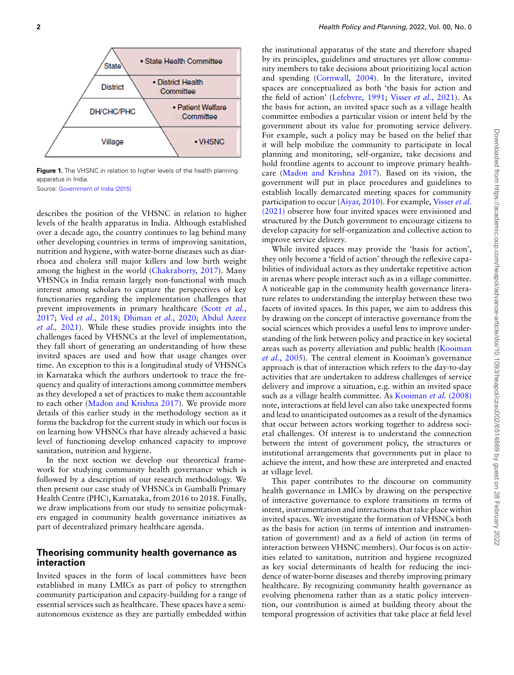<span id="page-1-0"></span>

**Figure 1.** The VHSNC in relation to higher levels of the health planning apparatus in India.

Source: [Government of India \(2015\)](#page-10-5)

describes the position of the VHSNC in relation to higher levels of the health apparatus in India. Although established over a decade ago, the country continues to lag behind many other developing countries in terms of improving sanitation, nutrition and hygiene, with water-borne diseases such as diarrhoea and cholera still major killers and low birth weight among the highest in the world([Chakraborty, 2017\)](#page-9-4). Many VHSNCs in India remain largely non-functional with much interest among scholars to capture the perspectives of key functionaries regarding the implementation challenges that prevent improvements in primary healthcare (Scott *[et al.](#page-10-6)*, [2017](#page-10-6); Ved *et al.*[, 2018;](#page-10-7) [Dhiman](#page-10-8) *et al.*, 2020; [Abdul Azeez](#page-9-5) *[et al.,](#page-9-5)* 2021). While these studies provide insights into the challenges faced by VHSNCs at the level of implementation, they fall short of generating an understanding of how these invited spaces are used and how that usage changes over time. An exception to this is a longitudinal study of VHSNCs in Karnataka which the authors undertook to trace the frequency and quality of interactions among committee members as they developed a set of practices to make them accountable to each other([Madon and Krishna 2017](#page-10-9)). We provide more details of this earlier study in the methodology section as it forms the backdrop for the current study in which our focus is on learning how VHSNCs that have already achieved a basic level of functioning develop enhanced capacity to improve sanitation, nutrition and hygiene.

In the next section we develop our theoretical framework for studying community health governance which is followed by a description of our research methodology. We then present our case study of VHSNCs in Gumballi Primary Health Centre (PHC), Karnataka, from 2016 to 2018. Finally, we draw implications from our study to sensitize policymakers engaged in community health governance initiatives as part of decentralized primary healthcare agenda.

## **Theorising community health governance as interaction**

Invited spaces in the form of local committees have been established in many LMICs as part of policy to strengthen community participation and capacity-building for a range of essential services such as healthcare. These spaces have a semiautonomous existence as they are partially embedded within

the institutional apparatus of the state and therefore shaped by its principles, guidelines and structures yet allow community members to take decisions about prioritizing local action and spending([Cornwall, 2004](#page-9-6)). In the literature, invited spaces are conceptualized as both 'the basis for action and the field of action'([Lefebvre, 1991](#page-10-10); Visser *et al.*[, 2021\)](#page-10-11). As the basis for action, an invited space such as a village health committee embodies a particular vision or intent held by the government about its value for promoting service delivery. For example, such a policy may be based on the belief that it will help mobilize the community to participate in local planning and monitoring, self-organize, take decisions and hold frontline agents to account to improve primary healthcare [\(Madon and Krishna 2017](#page-10-9)). Based on its vision, the government will put in place procedures and guidelines to establish locally demarcated meeting spaces for community participation to occur [\(Aiyar, 2010](#page-9-3)). For example, [Visser](#page-10-11) *et al.* [\(2021\)](#page-10-11) observe how four invited spaces were envisioned and structured by the Dutch government to encourage citizens to develop capacity for self-organization and collective action to improve service delivery.

While invited spaces may provide the 'basis for action', they only become a 'field of action' through the reflexive capabilities of individual actors as they undertake repetitive action in arenas where people interact such as in a village committee. A noticeable gap in the community health governance literature relates to understanding the interplay between these two facets of invited spaces. In this paper, we aim to address this by drawing on the concept of interactive governance from the social sciences which provides a useful lens to improve understanding of the link between policy and practice in key societal areas such as poverty alleviation and public health([Kooiman](#page-10-4) *et al.*[, 2005](#page-10-4)). The central element in Kooiman's governance approach is that of interaction which refers to the day-to-day activities that are undertaken to address challenges of service delivery and improve a situation, e.g. within an invited space such as a village health committee. As [Kooiman](#page-10-12) *et al.* (2008) note, interactions at field level can also take unexpected forms and lead to unanticipated outcomes as a result of the dynamics that occur between actors working together to address societal challenges. Of interest is to understand the connection between the intent of government policy, the structures or institutional arrangements that governments put in place to achieve the intent, and how these are interpreted and enacted at village level.

This paper contributes to the discourse on community health governance in LMICs by drawing on the perspective of interactive governance to explore transitions in terms of intent, instrumentation and interactions that take place within invited spaces. We investigate the formation of VHSNCs both as the basis for action (in terms of intention and instrumentation of government) and as a field of action (in terms of interaction between VHSNC members). Our focus is on activities related to sanitation, nutrition and hygiene recognized as key social determinants of health for reducing the incidence of water-borne diseases and thereby improving primary healthcare. By recognizing community health governance as evolving phenomena rather than as a static policy intervention, our contribution is aimed at building theory about the temporal progression of activities that take place at field level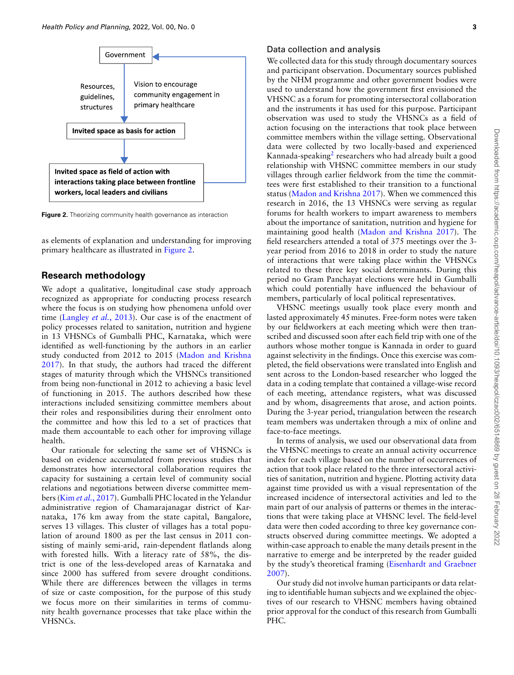<span id="page-2-0"></span>

**Figure 2.** Theorizing community health governance as interaction

as elements of explanation and understanding for improving primary healthcare as illustrated in [Figure 2.](#page-2-0)

## **Research methodology**

We adopt a qualitative, longitudinal case study approach recognized as appropriate for conducting process research where the focus is on studying how phenomena unfold over time([Langley](#page-10-13) *et al.*, 2013). Our case is of the enactment of policy processes related to sanitation, nutrition and hygiene in 13 VHSNCs of Gumballi PHC, Karnataka, which were identified as well-functioning by the authors in an earlier study conducted from 2012 to 2015 [\(Madon and Krishna](#page-10-9) [2017\)](#page-10-9). In that study, the authors had traced the different stages of maturity through which the VHSNCs transitioned from being non-functional in 2012 to achieving a basic level of functioning in 2015. The authors described how these interactions included sensitizing committee members about their roles and responsibilities during their enrolment onto the committee and how this led to a set of practices that made them accountable to each other for improving village health.

Our rationale for selecting the same set of VHSNCs is based on evidence accumulated from previous studies that demonstrates how intersectoral collaboration requires the capacity for sustaining a certain level of community social relations and negotiations between diverse committee members (Kim *et al.*[, 2017](#page-10-14)). Gumballi PHC located in the Yelandur administrative region of Chamarajanagar district of Karnataka, 176 km away from the state capital, Bangalore, serves 13 villages. This cluster of villages has a total population of around 1800 as per the last census in 2011 consisting of mainly semi-arid, rain-dependent flatlands along with forested hills. With a literacy rate of 58%, the district is one of the less-developed areas of Karnataka and since 2000 has suffered from severe drought conditions. While there are differences between the villages in terms of size or caste composition, for the purpose of this study we focus more on their similarities in terms of community health governance processes that take place within the VHSNCs.

#### Data collection and analysis

We collected data for this study through documentary sources and participant observation. Documentary sources published by the NHM programme and other government bodies were used to understand how the government first envisioned the VHSNC as a forum for promoting intersectoral collaboration and the instruments it has used for this purpose. Participant observation was used to study the VHSNCs as a field of action focusing on the interactions that took place between committee members within the village setting. Observational data were collected by two locally-based and experienced Kannada-speaking<sup>[2](#page-0-2)</sup> researchers who had already built a good relationship with VHSNC committee members in our study villages through earlier fieldwork from the time the committees were first established to their transition to a functional status([Madon and Krishna 2017\)](#page-10-9). When we commenced this research in 2016, the 13 VHSNCs were serving as regular forums for health workers to impart awareness to members about the importance of sanitation, nutrition and hygiene for maintaining good health [\(Madon and Krishna 2017](#page-10-9)). The field researchers attended a total of 375 meetings over the 3 year period from 2016 to 2018 in order to study the nature of interactions that were taking place within the VHSNCs related to these three key social determinants. During this period no Gram Panchayat elections were held in Gumballi which could potentially have influenced the behaviour of members, particularly of local political representatives.

VHSNC meetings usually took place every month and lasted approximately 45 minutes. Free-form notes were taken by our fieldworkers at each meeting which were then transcribed and discussed soon after each field trip with one of the authors whose mother tongue is Kannada in order to guard against selectivity in the findings. Once this exercise was completed, the field observations were translated into English and sent across to the London-based researcher who logged the data in a coding template that contained a village-wise record of each meeting, attendance registers, what was discussed and by whom, disagreements that arose, and action points. During the 3-year period, triangulation between the research team members was undertaken through a mix of online and face-to-face meetings.

In terms of analysis, we used our observational data from the VHSNC meetings to create an annual activity occurrence index for each village based on the number of occurrences of action that took place related to the three intersectoral activities of sanitation, nutrition and hygiene. Plotting activity data against time provided us with a visual representation of the increased incidence of intersectoral activities and led to the main part of our analysis of patterns or themes in the interactions that were taking place at VHSNC level. The field-level data were then coded according to three key governance constructs observed during committee meetings. We adopted a within-case approach to enable the many details present in the narrative to emerge and be interpreted by the reader guided by the study's theoretical framing([Eisenhardt and Graebner](#page-10-15) [2007\)](#page-10-15).

Our study did not involve human participants or data relating to identifiable human subjects and we explained the objectives of our research to VHSNC members having obtained prior approval for the conduct of this research from Gumballi PHC.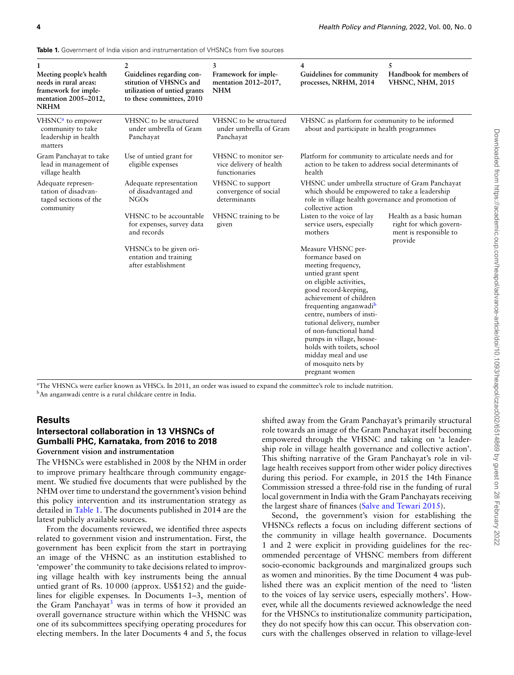| 1<br>Meeting people's health<br>needs in rural areas:<br>framework for imple-<br>mentation 2005-2012,<br><b>NRHM</b> | 2<br>Guidelines regarding con-<br>stitution of VHSNCs and<br>utilization of untied grants<br>to these committees, 2010 | 3<br>Framework for imple-<br>mentation 2012-2017,<br><b>NHM</b>   | 4<br>Guidelines for community<br>processes, NRHM, 2014                                                                                                                                                                                                                                                                                                                                                                | 5<br>Handbook for members of<br><b>VHSNC, NHM, 2015</b>                                 |  |
|----------------------------------------------------------------------------------------------------------------------|------------------------------------------------------------------------------------------------------------------------|-------------------------------------------------------------------|-----------------------------------------------------------------------------------------------------------------------------------------------------------------------------------------------------------------------------------------------------------------------------------------------------------------------------------------------------------------------------------------------------------------------|-----------------------------------------------------------------------------------------|--|
| VHSNC <sup>a</sup> to empower<br>community to take<br>leadership in health<br>matters                                | VHSNC to be structured<br>under umbrella of Gram<br>Panchayat                                                          | VHSNC to be structured<br>under umbrella of Gram<br>Panchayat     | VHSNC as platform for community to be informed<br>about and participate in health programmes                                                                                                                                                                                                                                                                                                                          |                                                                                         |  |
| Gram Panchayat to take<br>lead in management of<br>village health                                                    | Use of untied grant for<br>eligible expenses                                                                           | VHSNC to monitor ser-<br>vice delivery of health<br>functionaries | Platform for community to articulate needs and for<br>action to be taken to address social determinants of<br>health                                                                                                                                                                                                                                                                                                  |                                                                                         |  |
| Adequate represen-<br>tation of disadvan-<br>taged sections of the<br>community                                      | Adequate representation<br>of disadvantaged and<br>NGOs                                                                | VHSNC to support<br>convergence of social<br>determinants         | VHSNC under umbrella structure of Gram Panchayat<br>which should be empowered to take a leadership<br>role in village health governance and promotion of<br>collective action                                                                                                                                                                                                                                         |                                                                                         |  |
|                                                                                                                      | VHSNC to be accountable<br>for expenses, survey data<br>and records                                                    | VHSNC training to be<br>given                                     | Listen to the voice of lay<br>service users, especially<br>mothers                                                                                                                                                                                                                                                                                                                                                    | Health as a basic human<br>right for which govern-<br>ment is responsible to<br>provide |  |
|                                                                                                                      | VHSNCs to be given ori-<br>entation and training<br>after establishment                                                |                                                                   | Measure VHSNC per-<br>formance based on<br>meeting frequency,<br>untied grant spent<br>on eligible activities,<br>good record-keeping,<br>achievement of children<br>frequenting anganwadi <sup>b</sup><br>centre, numbers of insti-<br>tutional delivery, number<br>of non-functional hand<br>pumps in village, house-<br>holds with toilets, school<br>midday meal and use<br>of mosquito nets by<br>pregnant women |                                                                                         |  |

<span id="page-3-2"></span>**Table 1.** Government of India vision and instrumentation of VHSNCs from five sources

<span id="page-3-1"></span><span id="page-3-0"></span><sup>a</sup>The VHSNCs were earlier known as VHSCs. In 2011, an order was issued to expand the committee's role to include nutrition. <sup>b</sup>An anganwadi centre is a rural childcare centre in India.

## **Results**

#### **Intersectoral collaboration in 13 VHSNCs of Gumballi PHC, Karnataka, from 2016 to 2018 Government vision and instrumentation**

The VHSNCs were established in 2008 by the NHM in order to improve primary healthcare through community engagement. We studied five documents that were published by the NHM over time to understand the government's vision behind this policy intervention and its instrumentation strategy as detailed in [Table 1.](#page-3-2) The documents published in 2014 are the latest publicly available sources.

From the documents reviewed, we identified three aspects related to government vision and instrumentation. First, the government has been explicit from the start in portraying an image of the VHSNC as an institution established to 'empower' the community to take decisions related to improving village health with key instruments being the annual untied grant of Rs. 10 000 (approx. US\$152) and the guidelines for eligible expenses. In Documents 1–3, mention of the Gram Panchayat<sup>[3](#page-0-2)</sup> was in terms of how it provided an overall governance structure within which the VHSNC was one of its subcommittees specifying operating procedures for electing members. In the later Documents 4 and 5, the focus

shifted away from the Gram Panchayat's primarily structural role towards an image of the Gram Panchayat itself becoming empowered through the VHSNC and taking on 'a leadership role in village health governance and collective action'. This shifting narrative of the Gram Panchayat's role in village health receives support from other wider policy directives during this period. For example, in 2015 the 14th Finance Commission stressed a three-fold rise in the funding of rural local government in India with the Gram Panchayats receiving the largest share of finances [\(Salve and Tewari 2015](#page-10-16)).

Second, the government's vision for establishing the VHSNCs reflects a focus on including different sections of the community in village health governance. Documents 1 and 2 were explicit in providing guidelines for the recommended percentage of VHSNC members from different socio-economic backgrounds and marginalized groups such as women and minorities. By the time Document 4 was published there was an explicit mention of the need to 'listen to the voices of lay service users, especially mothers'. However, while all the documents reviewed acknowledge the need for the VHSNCs to institutionalize community participation, they do not specify how this can occur. This observation concurs with the challenges observed in relation to village-level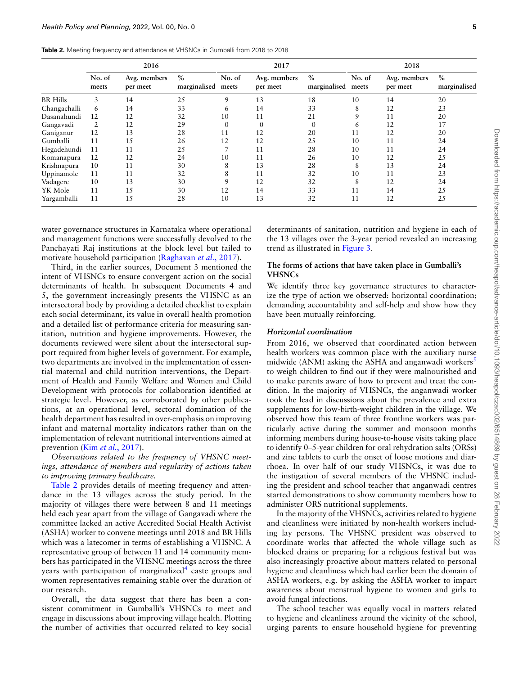<span id="page-4-0"></span>

|                 | 2016            |                          |                      | 2017            |                          |                      | 2018            |                          |                      |
|-----------------|-----------------|--------------------------|----------------------|-----------------|--------------------------|----------------------|-----------------|--------------------------|----------------------|
|                 | No. of<br>meets | Avg. members<br>per meet | $\%$<br>marginalised | No. of<br>meets | Avg. members<br>per meet | $\%$<br>marginalised | No. of<br>meets | Avg. members<br>per meet | $\%$<br>marginalised |
| <b>BR</b> Hills | 3               | 14                       | 25                   | 9               | 13                       | 18                   | 10              | 14                       | 20                   |
| Changachalli    | 6               | 14                       | 33                   | 6               | 14                       | 33                   | 8               | 12                       | 23                   |
| Dasanahundi     | 12              | 12                       | 32                   | 10              | 11                       | 21                   | 9               | 11                       | 20                   |
| Gangavadi       |                 | 12                       | 29                   | $\Omega$        | $\Omega$                 | $\mathbf{0}$         | 6               | 12                       | 17                   |
| Ganiganur       | 12              | 13                       | 28                   | 11              | 12                       | 20                   | 11              | 12                       | 20                   |
| Gumballi        | 11              | 15                       | 26                   | 12              | 12                       | 25                   | 10              | 11                       | 24                   |
| Hegadehundi     | 11              | 11                       | 25                   |                 | 11                       | 28                   | 10              | 11                       | 24                   |
| Komanapura      | 12              | 12                       | 24                   | 10              | 11                       | 26                   | 10              | 12                       | 25                   |
| Krishnapura     | 10              | 11                       | 30                   | 8               | 13                       | 28                   | 8               | 13                       | 24                   |
| Uppinamole      | 11              | 11                       | 32                   | 8               | 11                       | 32                   | 10              | 11                       | 23                   |
| Vadagere        | 10              | 13                       | 30                   | 9               | 12                       | 32                   | 8               | 12                       | 24                   |
| YK Mole         | 11              | 15                       | 30                   | 12              | 14                       | 33                   | 11              | 14                       | 25                   |
| Yargamballi     | 11              | 15                       | 28                   | 10              | 13                       | 32                   | 11              | 12                       | 25                   |

water governance structures in Karnataka where operational and management functions were successfully devolved to the Panchayati Raj institutions at the block level but failed to motivate household participation [\(Raghavan](#page-10-17) *et al.*, 2017).

Third, in the earlier sources, Document 3 mentioned the intent of VHSNCs to ensure convergent action on the social determinants of health. In subsequent Documents 4 and 5, the government increasingly presents the VHSNC as an intersectoral body by providing a detailed checklist to explain each social determinant, its value in overall health promotion and a detailed list of performance criteria for measuring sanitation, nutrition and hygiene improvements. However, the documents reviewed were silent about the intersectoral support required from higher levels of government. For example, two departments are involved in the implementation of essential maternal and child nutrition interventions, the Department of Health and Family Welfare and Women and Child Development with protocols for collaboration identified at strategic level. However, as corroborated by other publications, at an operational level, sectoral domination of the health department has resulted in over-emphasis on improving infant and maternal mortality indicators rather than on the implementation of relevant nutritional interventions aimed at prevention (Kim *et al.*[, 2017](#page-10-14)).

*Observations related to the frequency of VHSNC meetings, attendance of members and regularity of actions taken to improving primary healthcare.*

[Table 2](#page-4-0) provides details of meeting frequency and attendance in the 13 villages across the study period. In the majority of villages there were between 8 and 11 meetings held each year apart from the village of Gangavadi where the committee lacked an active Accredited Social Health Activist (ASHA) worker to convene meetings until 2018 and BR Hills which was a latecomer in terms of establishing a VHSNC. A representative group of between 11 and 14 community members has participated in the VHSNC meetings across the three years with participation of marginalized<sup>[4](#page-0-2)</sup> caste groups and women representatives remaining stable over the duration of our research.

Overall, the data suggest that there has been a consistent commitment in Gumballi's VHSNCs to meet and engage in discussions about improving village health. Plotting the number of activities that occurred related to key social determinants of sanitation, nutrition and hygiene in each of the 13 villages over the 3-year period revealed an increasing trend as illustrated in [Figure 3.](#page-5-0)

### **The forms of actions that have taken place in Gumballi's VHSNCs**

We identify three key governance structures to characterize the type of action we observed: horizontal coordination; demanding accountability and self-help and show how they have been mutually reinforcing.

#### *Horizontal coordination*

From 2016, we observed that coordinated action between health workers was common place with the auxiliary nurse midwide (ANM) asking the ASHA and anganwadi workers<sup>[5](#page-0-2)</sup> to weigh children to find out if they were malnourished and to make parents aware of how to prevent and treat the condition. In the majority of VHSNCs, the anganwadi worker took the lead in discussions about the prevalence and extra supplements for low-birth-weight children in the village. We observed how this team of three frontline workers was particularly active during the summer and monsoon months informing members during house-to-house visits taking place to identify 0–5-year children for oral rehydration salts (ORSs) and zinc tablets to curb the onset of loose motions and diarrhoea. In over half of our study VHSNCs, it was due to the instigation of several members of the VHSNC including the president and school teacher that anganwadi centres started demonstrations to show community members how to administer ORS nutritional supplements.

In the majority of the VHSNCs, activities related to hygiene and cleanliness were initiated by non-health workers including lay persons. The VHSNC president was observed to coordinate works that affected the whole village such as blocked drains or preparing for a religious festival but was also increasingly proactive about matters related to personal hygiene and cleanliness which had earlier been the domain of ASHA workers, e.g. by asking the ASHA worker to impart awareness about menstrual hygiene to women and girls to avoid fungal infections.

The school teacher was equally vocal in matters related to hygiene and cleanliness around the vicinity of the school, urging parents to ensure household hygiene for preventing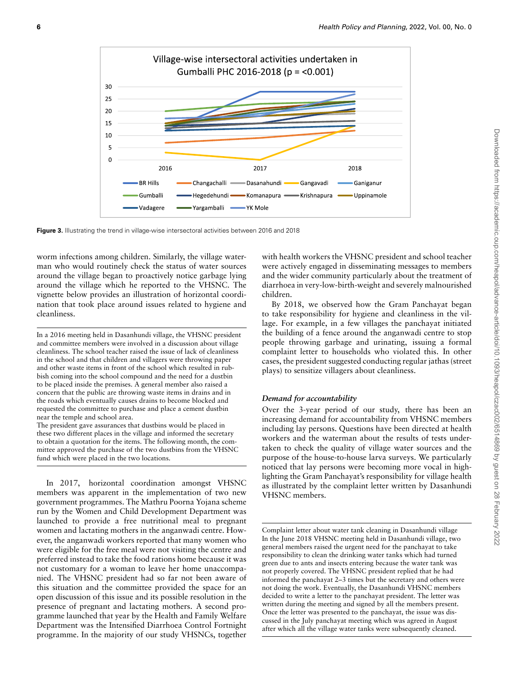<span id="page-5-0"></span>

**Figure 3.** Illustrating the trend in village-wise intersectoral activities between 2016 and 2018

worm infections among children. Similarly, the village waterman who would routinely check the status of water sources around the village began to proactively notice garbage lying around the village which he reported to the VHSNC. The vignette below provides an illustration of horizontal coordination that took place around issues related to hygiene and cleanliness.

In a 2016 meeting held in Dasanhundi village, the VHSNC president and committee members were involved in a discussion about village cleanliness. The school teacher raised the issue of lack of cleanliness in the school and that children and villagers were throwing paper and other waste items in front of the school which resulted in rubbish coming into the school compound and the need for a dustbin to be placed inside the premises. A general member also raised a concern that the public are throwing waste items in drains and in the roads which eventually causes drains to become blocked and requested the committee to purchase and place a cement dustbin near the temple and school area.

The president gave assurances that dustbins would be placed in these two different places in the village and informed the secretary to obtain a quotation for the items. The following month, the committee approved the purchase of the two dustbins from the VHSNC fund which were placed in the two locations.

In 2017, horizontal coordination amongst VHSNC members was apparent in the implementation of two new government programmes. The Mathru Poorna Yojana scheme run by the Women and Child Development Department was launched to provide a free nutritional meal to pregnant women and lactating mothers in the anganwadi centre. However, the anganwadi workers reported that many women who were eligible for the free meal were not visiting the centre and preferred instead to take the food rations home because it was not customary for a woman to leave her home unaccompanied. The VHSNC president had so far not been aware of this situation and the committee provided the space for an open discussion of this issue and its possible resolution in the presence of pregnant and lactating mothers. A second programme launched that year by the Health and Family Welfare Department was the Intensified Diarrhoea Control Fortnight programme. In the majority of our study VHSNCs, together

with health workers the VHSNC president and school teacher were actively engaged in disseminating messages to members and the wider community particularly about the treatment of diarrhoea in very-low-birth-weight and severely malnourished children.

By 2018, we observed how the Gram Panchayat began to take responsibility for hygiene and cleanliness in the village. For example, in a few villages the panchayat initiated the building of a fence around the anganwadi centre to stop people throwing garbage and urinating, issuing a formal complaint letter to households who violated this. In other cases, the president suggested conducting regular jathas (street plays) to sensitize villagers about cleanliness.

#### *Demand for accountability*

Over the 3-year period of our study, there has been an increasing demand for accountability from VHSNC members including lay persons. Questions have been directed at health workers and the waterman about the results of tests undertaken to check the quality of village water sources and the purpose of the house-to-house larva surveys. We particularly noticed that lay persons were becoming more vocal in highlighting the Gram Panchayat's responsibility for village health as illustrated by the complaint letter written by Dasanhundi VHSNC members.

Complaint letter about water tank cleaning in Dasanhundi village In the June 2018 VHSNC meeting held in Dasanhundi village, two general members raised the urgent need for the panchayat to take responsibility to clean the drinking water tanks which had turned green due to ants and insects entering because the water tank was not properly covered. The VHSNC president replied that he had informed the panchayat 2–3 times but the secretary and others were not doing the work. Eventually, the Dasanhundi VHSNC members decided to write a letter to the panchayat president. The letter was written during the meeting and signed by all the members present. Once the letter was presented to the panchayat, the issue was discussed in the July panchayat meeting which was agreed in August after which all the village water tanks were subsequently cleaned.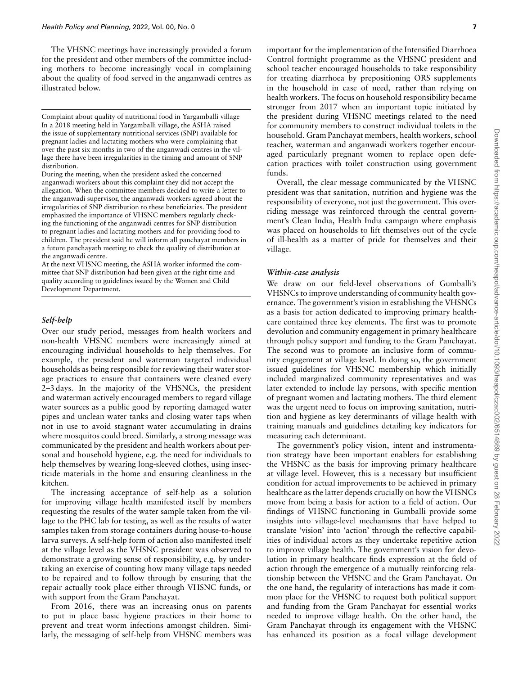The VHSNC meetings have increasingly provided a forum for the president and other members of the committee including mothers to become increasingly vocal in complaining about the quality of food served in the anganwadi centres as illustrated below.

Complaint about quality of nutritional food in Yargamballi village In a 2018 meeting held in Yargamballi village, the ASHA raised the issue of supplementary nutritional services (SNP) available for pregnant ladies and lactating mothers who were complaining that over the past six months in two of the anganwadi centres in the village there have been irregularities in the timing and amount of SNP distribution.

During the meeting, when the president asked the concerned anganwadi workers about this complaint they did not accept the allegation. When the committee members decided to write a letter to the anganwadi supervisor, the anganwadi workers agreed about the irregularities of SNP distribution to these beneficiaries. The president emphasized the importance of VHSNC members regularly checking the functioning of the anganwadi centres for SNP distribution to pregnant ladies and lactating mothers and for providing food to children. The president said he will inform all panchayat members in a future panchayath meeting to check the quality of distribution at the anganwadi centre.

At the next VHSNC meeting, the ASHA worker informed the committee that SNP distribution had been given at the right time and quality according to guidelines issued by the Women and Child Development Department.

#### *Self-help*

Over our study period, messages from health workers and non-health VHSNC members were increasingly aimed at encouraging individual households to help themselves. For example, the president and waterman targeted individual households as being responsible for reviewing their water storage practices to ensure that containers were cleaned every 2–3 days. In the majority of the VHSNCs, the president and waterman actively encouraged members to regard village water sources as a public good by reporting damaged water pipes and unclean water tanks and closing water taps when not in use to avoid stagnant water accumulating in drains where mosquitos could breed. Similarly, a strong message was communicated by the president and health workers about personal and household hygiene, e.g. the need for individuals to help themselves by wearing long-sleeved clothes, using insecticide materials in the home and ensuring cleanliness in the kitchen.

The increasing acceptance of self-help as a solution for improving village health manifested itself by members requesting the results of the water sample taken from the village to the PHC lab for testing, as well as the results of water samples taken from storage containers during house-to-house larva surveys. A self-help form of action also manifested itself at the village level as the VHSNC president was observed to demonstrate a growing sense of responsibility, e.g. by undertaking an exercise of counting how many village taps needed to be repaired and to follow through by ensuring that the repair actually took place either through VHSNC funds, or with support from the Gram Panchayat.

From 2016, there was an increasing onus on parents to put in place basic hygiene practices in their home to prevent and treat worm infections amongst children. Similarly, the messaging of self-help from VHSNC members was

important for the implementation of the Intensified Diarrhoea Control fortnight programme as the VHSNC president and school teacher encouraged households to take responsibility for treating diarrhoea by prepositioning ORS supplements in the household in case of need, rather than relying on health workers. The focus on household responsibility became stronger from 2017 when an important topic initiated by the president during VHSNC meetings related to the need for community members to construct individual toilets in the household. Gram Panchayat members, health workers, school teacher, waterman and anganwadi workers together encouraged particularly pregnant women to replace open defecation practices with toilet construction using government funds.

Overall, the clear message communicated by the VHSNC president was that sanitation, nutrition and hygiene was the responsibility of everyone, not just the government. This overriding message was reinforced through the central government's Clean India, Health India campaign where emphasis was placed on households to lift themselves out of the cycle of ill-health as a matter of pride for themselves and their village.

#### *Within-case analysis*

We draw on our field-level observations of Gumballi's VHSNCs to improve understanding of community health governance. The government's vision in establishing the VHSNCs as a basis for action dedicated to improving primary healthcare contained three key elements. The first was to promote devolution and community engagement in primary healthcare through policy support and funding to the Gram Panchayat. The second was to promote an inclusive form of community engagement at village level. In doing so, the government issued guidelines for VHSNC membership which initially included marginalized community representatives and was later extended to include lay persons, with specific mention of pregnant women and lactating mothers. The third element was the urgent need to focus on improving sanitation, nutrition and hygiene as key determinants of village health with training manuals and guidelines detailing key indicators for measuring each determinant.

The government's policy vision, intent and instrumentation strategy have been important enablers for establishing the VHSNC as the basis for improving primary healthcare at village level. However, this is a necessary but insufficient condition for actual improvements to be achieved in primary healthcare as the latter depends crucially on how the VHSNCs move from being a basis for action to a field of action. Our findings of VHSNC functioning in Gumballi provide some insights into village-level mechanisms that have helped to translate 'vision' into 'action' through the reflective capabilities of individual actors as they undertake repetitive action to improve village health. The government's vision for devolution in primary healthcare finds expression at the field of action through the emergence of a mutually reinforcing relationship between the VHSNC and the Gram Panchayat. On the one hand, the regularity of interactions has made it common place for the VHSNC to request both political support and funding from the Gram Panchayat for essential works needed to improve village health. On the other hand, the Gram Panchayat through its engagement with the VHSNC has enhanced its position as a focal village development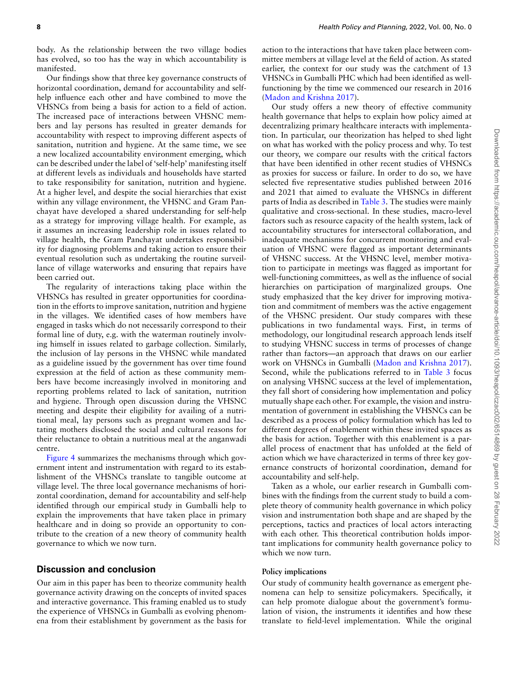body. As the relationship between the two village bodies has evolved, so too has the way in which accountability is manifested.

Our findings show that three key governance constructs of horizontal coordination, demand for accountability and selfhelp influence each other and have combined to move the VHSNCs from being a basis for action to a field of action. The increased pace of interactions between VHSNC members and lay persons has resulted in greater demands for accountability with respect to improving different aspects of sanitation, nutrition and hygiene. At the same time, we see a new localized accountability environment emerging, which can be described under the label of 'self-help' manifesting itself at different levels as individuals and households have started to take responsibility for sanitation, nutrition and hygiene. At a higher level, and despite the social hierarchies that exist within any village environment, the VHSNC and Gram Panchayat have developed a shared understanding for self-help as a strategy for improving village health. For example, as it assumes an increasing leadership role in issues related to village health, the Gram Panchayat undertakes responsibility for diagnosing problems and taking action to ensure their eventual resolution such as undertaking the routine surveillance of village waterworks and ensuring that repairs have been carried out.

The regularity of interactions taking place within the VHSNCs has resulted in greater opportunities for coordination in the efforts to improve sanitation, nutrition and hygiene in the villages. We identified cases of how members have engaged in tasks which do not necessarily correspond to their formal line of duty, e.g. with the waterman routinely involving himself in issues related to garbage collection. Similarly, the inclusion of lay persons in the VHSNC while mandated as a guideline issued by the government has over time found expression at the field of action as these community members have become increasingly involved in monitoring and reporting problems related to lack of sanitation, nutrition and hygiene. Through open discussion during the VHSNC meeting and despite their eligibility for availing of a nutritional meal, lay persons such as pregnant women and lactating mothers disclosed the social and cultural reasons for their reluctance to obtain a nutritious meal at the anganwadi centre.

[Figure 4](#page-8-0) summarizes the mechanisms through which government intent and instrumentation with regard to its establishment of the VHSNCs translate to tangible outcome at village level. The three local governance mechanisms of horizontal coordination, demand for accountability and self-help identified through our empirical study in Gumballi help to explain the improvements that have taken place in primary healthcare and in doing so provide an opportunity to contribute to the creation of a new theory of community health governance to which we now turn.

## **Discussion and conclusion**

Our aim in this paper has been to theorize community health governance activity drawing on the concepts of invited spaces and interactive governance. This framing enabled us to study the experience of VHSNCs in Gumballi as evolving phenomena from their establishment by government as the basis for

action to the interactions that have taken place between committee members at village level at the field of action. As stated earlier, the context for our study was the catchment of 13 VHSNCs in Gumballi PHC which had been identified as wellfunctioning by the time we commenced our research in 2016 ([Madon and Krishna 2017\)](#page-10-9).

Our study offers a new theory of effective community health governance that helps to explain how policy aimed at decentralizing primary healthcare interacts with implementation. In particular, our theorization has helped to shed light on what has worked with the policy process and why. To test our theory, we compare our results with the critical factors that have been identified in other recent studies of VHSNCs as proxies for success or failure. In order to do so, we have selected five representative studies published between 2016 and 2021 that aimed to evaluate the VHSNCs in different parts of India as described in [Table 3.](#page-8-1) The studies were mainly qualitative and cross-sectional. In these studies, macro-level factors such as resource capacity of the health system, lack of accountability structures for intersectoral collaboration, and inadequate mechanisms for concurrent monitoring and evaluation of VHSNC were flagged as important determinants of VHSNC success. At the VHSNC level, member motivation to participate in meetings was flagged as important for well-functioning committees, as well as the influence of social hierarchies on participation of marginalized groups. One study emphasized that the key driver for improving motivation and commitment of members was the active engagement of the VHSNC president. Our study compares with these publications in two fundamental ways. First, in terms of methodology, our longitudinal research approach lends itself to studying VHSNC success in terms of processes of change rather than factors—an approach that draws on our earlier work on VHSNCs in Gumballi([Madon and Krishna 2017](#page-10-9)). Second, while the publications referred to in [Table 3](#page-8-1) focus on analysing VHSNC success at the level of implementation, they fall short of considering how implementation and policy mutually shape each other. For example, the vision and instrumentation of government in establishing the VHSNCs can be described as a process of policy formulation which has led to different degrees of enablement within these invited spaces as the basis for action. Together with this enablement is a parallel process of enactment that has unfolded at the field of action which we have characterized in terms of three key governance constructs of horizontal coordination, demand for accountability and self-help.

Taken as a whole, our earlier research in Gumballi combines with the findings from the current study to build a complete theory of community health governance in which policy vision and instrumentation both shape and are shaped by the perceptions, tactics and practices of local actors interacting with each other. This theoretical contribution holds important implications for community health governance policy to which we now turn.

#### **Policy implications**

Our study of community health governance as emergent phenomena can help to sensitize policymakers. Specifically, it can help promote dialogue about the government's formulation of vision, the instruments it identifies and how these translate to field-level implementation. While the original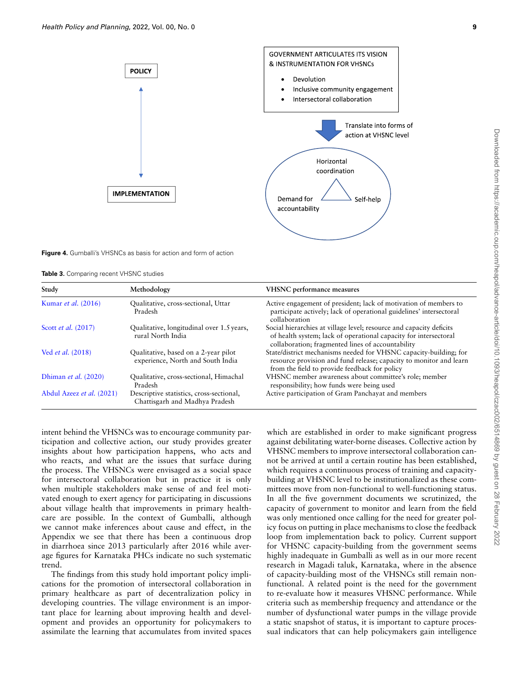<span id="page-8-0"></span>



**Figure 4.** Gumballi's VHSNCs as basis for action and form of action

<span id="page-8-1"></span>**Table 3.** Comparing recent VHSNC studies

| Study                         | Methodology                                                                | <b>VHSNC</b> performance measures                                                                                                                                                            |  |  |  |  |
|-------------------------------|----------------------------------------------------------------------------|----------------------------------------------------------------------------------------------------------------------------------------------------------------------------------------------|--|--|--|--|
| Kumar et al. (2016)           | Qualitative, cross-sectional, Uttar<br>Pradesh                             | Active engagement of president; lack of motivation of members to<br>participate actively; lack of operational guidelines' intersectoral<br>collaboration                                     |  |  |  |  |
| Scott <i>et al.</i> (2017)    | Qualitative, longitudinal over 1.5 years,<br>rural North India             | Social hierarchies at village level; resource and capacity deficits<br>of health system; lack of operational capacity for intersectoral<br>collaboration; fragmented lines of accountability |  |  |  |  |
| Ved <i>et al.</i> (2018)      | Qualitative, based on a 2-year pilot<br>experience, North and South India  | State/district mechanisms needed for VHSNC capacity-building; for<br>resource provision and fund release; capacity to monitor and learn<br>from the field to provide feedback for policy     |  |  |  |  |
| Dhiman <i>et al.</i> $(2020)$ | Qualitative, cross-sectional, Himachal<br>Pradesh                          | VHSNC member awareness about committee's role; member<br>responsibility; how funds were being used                                                                                           |  |  |  |  |
| Abdul Azeez et al. (2021)     | Descriptive statistics, cross-sectional,<br>Chattisgarh and Madhya Pradesh | Active participation of Gram Panchayat and members                                                                                                                                           |  |  |  |  |

intent behind the VHSNCs was to encourage community participation and collective action, our study provides greater insights about how participation happens, who acts and who reacts, and what are the issues that surface during the process. The VHSNCs were envisaged as a social space for intersectoral collaboration but in practice it is only when multiple stakeholders make sense of and feel motivated enough to exert agency for participating in discussions about village health that improvements in primary healthcare are possible. In the context of Gumballi, although we cannot make inferences about cause and effect, in the Appendix we see that there has been a continuous drop in diarrhoea since 2013 particularly after 2016 while average figures for Karnataka PHCs indicate no such systematic trend.

The findings from this study hold important policy implications for the promotion of intersectoral collaboration in primary healthcare as part of decentralization policy in developing countries. The village environment is an important place for learning about improving health and development and provides an opportunity for policymakers to assimilate the learning that accumulates from invited spaces

which are established in order to make significant progress against debilitating water-borne diseases. Collective action by VHSNC members to improve intersectoral collaboration cannot be arrived at until a certain routine has been established, which requires a continuous process of training and capacitybuilding at VHSNC level to be institutionalized as these committees move from non-functional to well-functioning status. In all the five government documents we scrutinized, the capacity of government to monitor and learn from the field was only mentioned once calling for the need for greater policy focus on putting in place mechanisms to close the feedback loop from implementation back to policy. Current support for VHSNC capacity-building from the government seems highly inadequate in Gumballi as well as in our more recent research in Magadi taluk, Karnataka, where in the absence of capacity-building most of the VHSNCs still remain nonfunctional. A related point is the need for the government to re-evaluate how it measures VHSNC performance. While criteria such as membership frequency and attendance or the number of dysfunctional water pumps in the village provide a static snapshot of status, it is important to capture processual indicators that can help policymakers gain intelligence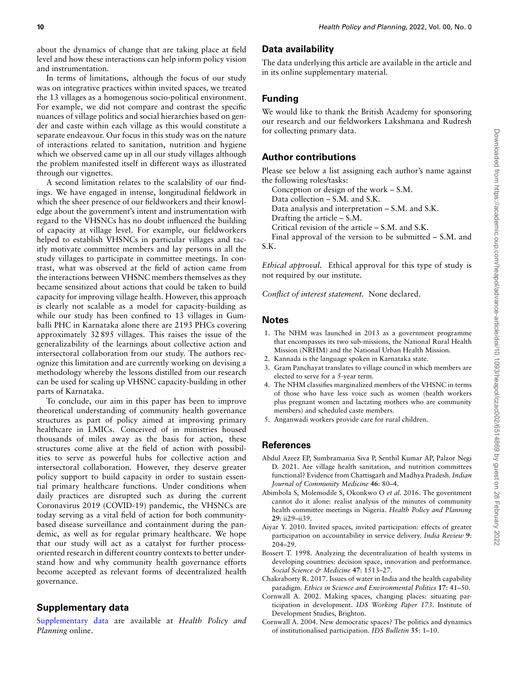about the dynamics of change that are taking place at field level and how these interactions can help inform policy vision and instrumentation.

In terms of limitations, although the focus of our study was on integrative practices within invited spaces, we treated the 13 villages as a homogenous socio-political environment. For example, we did not compare and contrast the specific nuances of village politics and social hierarchies based on gender and caste within each village as this would constitute a separate endeavour. Our focus in this study was on the nature of interactions related to sanitation, nutrition and hygiene which we observed came up in all our study villages although the problem manifested itself in different ways as illustrated through our vignettes.

A second limitation relates to the scalability of our findings. We have engaged in intense, longitudinal fieldwork in which the sheer presence of our fieldworkers and their knowledge about the government's intent and instrumentation with regard to the VHSNCs has no doubt influenced the building of capacity at village level. For example, our fieldworkers helped to establish VHSNCs in particular villages and tacitly motivate committee members and lay persons in all the study villages to participate in committee meetings. In contrast, what was observed at the field of action came from the interactions between VHSNC members themselves as they became sensitized about actions that could be taken to build capacity for improving village health. However, this approach is clearly not scalable as a model for capacity-building as while our study has been confined to 13 villages in Gumballi PHC in Karnataka alone there are 2193 PHCs covering approximately 32 895 villages. This raises the issue of the generalizability of the learnings about collective action and intersectoral collaboration from our study. The authors recognize this limitation and are currently working on devising a methodology whereby the lessons distilled from our research can be used for scaling up VHSNC capacity-building in other parts of Karnataka.

To conclude, our aim in this paper has been to improve theoretical understanding of community health governance structures as part of policy aimed at improving primary healthcare in LMICs. Conceived of in ministries housed thousands of miles away as the basis for action, these structures come alive at the field of action with possibilities to serve as powerful hubs for collective action and intersectoral collaboration. However, they deserve greater policy support to build capacity in order to sustain essential primary healthcare functions. Under conditions when daily practices are disrupted such as during the current Coronavirus 2019 (COVID-19) pandemic, the VHSNCs are today serving as a vital field of action for both communitybased disease surveillance and containment during the pandemic, as well as for regular primary healthcare. We hope that our study will act as a catalyst for further processoriented research in different country contexts to better understand how and why community health governance efforts become accepted as relevant forms of decentralized health governance.

# **Supplementary data**

[Supplementary data](https://academic.oup.com/heapol/article-lookup/doi/10.1093/heapol/czac002#supplementary-data) are available at *Health Policy and Planning* online.

# **Data availability**

The data underlying this article are available in the article and in its online supplementary material.

# **Funding**

We would like to thank the British Academy for sponsoring our research and our fieldworkers Lakshmana and Rudresh for collecting primary data.

# **Author contributions**

Please see below a list assigning each author's name against the following roles/tasks:

Conception or design of the work – S.M.

Data collection – S.M. and S.K.

Data analysis and interpretation – S.M. and S.K.

Drafting the article – S.M.

Critical revision of the article – S.M. and S.K.

Final approval of the version to be submitted – S.M. and S.K.

*Ethical approval.* Ethical approval for this type of study is not required by our institute.

*Conflict of interest statement.* None declared.

## **Notes**

- 1. The NHM was launched in 2013 as a government programme that encompasses its two sub-missions, the National Rural Health Mission (NRHM) and the National Urban Health Mission.
- 2. Kannada is the language spoken in Karnataka state.
- 3. Gram Panchayat translates to village council in which members are elected to serve for a 5-year term.
- 4. The NHM classifies marginalized members of the VHSNC in terms of those who have less voice such as women (health workers plus pregnant women and lactating mothers who are community members) and scheduled caste members.
- 5. Anganwadi workers provide care for rural children.

## **References**

- <span id="page-9-5"></span>Abdul Azeez EP, Sumbramania Siva P, Senthil Kumar AP, Palzor Negi D. 2021. Are village health sanitation, and nutrition committees functional? Evidence from Chattisgarh and Madhya Pradesh. *Indian Journal of Community Medicine* **46**: 80–4.
- <span id="page-9-1"></span>Abimbola S, Molemodile S, Okonkwo O *et al.* 2016. The government cannot do it alone: realist analysis of the minutes of community health committee meetings in Nigeria. *Health Policy and Planning* **29**: ii29–ii39.
- <span id="page-9-3"></span>Aiyar Y. 2010. Invited spaces, invited participation: effects of greater participation on accountability in service delivery. *India Review* **9**: 204–29.
- <span id="page-9-0"></span>Bossert T. 1998. Analyzing the decentralization of health systems in developing countries: decision space, innovation and performance. *Social Science & Medicine* **47**: 1513–27.
- <span id="page-9-4"></span>Chakraborty R. 2017. Issues of water in India and the health capability paradigm. *Ethics in Science and Environmental Politics* **17**: 41–50.
- <span id="page-9-2"></span>Cornwall A. 2002. Making spaces, changing places: situating participation in development. *IDS Working Paper 173*. Institute of Development Studies, Brighton.
- <span id="page-9-6"></span>Cornwall A. 2004. New democratic spaces? The politics and dynamics of institutionalised participation. *IDS Bulletin* **35**: 1–10.